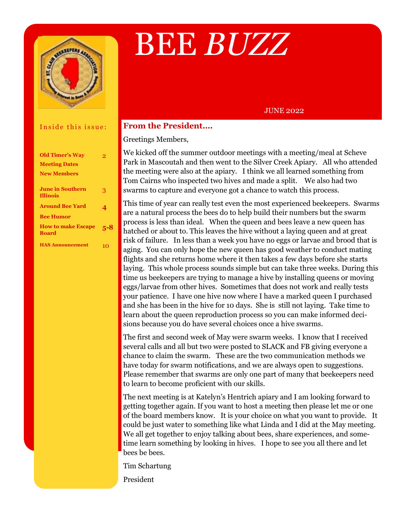

# BEE *BUZZ*

### JUNE 2022

### Inside this issue:

| <b>Old Timer's Way</b><br><b>Meeting Dates</b> | 9   |
|------------------------------------------------|-----|
| <b>New Members</b>                             |     |
| <b>June in Southern</b><br><b>Illinois</b>     | 3   |
| <b>Around Bee Yard</b>                         | 4   |
| <b>Bee Humor</b>                               |     |
| <b>How to make Escape</b><br><b>Board</b>      | 5-8 |
| <b>HAS Announcement</b>                        | 10  |

### **From the President….**

Greetings Members,

We kicked off the summer outdoor meetings with a meeting/meal at Scheve Park in Mascoutah and then went to the Silver Creek Apiary. All who attended the meeting were also at the apiary. I think we all learned something from Tom Cairns who inspected two hives and made a split. We also had two swarms to capture and everyone got a chance to watch this process.

laying. This whole process sounds simple but can take three weeks. During this time us beekeepers are trying to manage a hive by installing queens or moving This time of year can really test even the most experienced beekeepers. Swarms are a natural process the bees do to help build their numbers but the swarm process is less than ideal. When the queen and bees leave a new queen has hatched or about to. This leaves the hive without a laying queen and at great risk of failure. In less than a week you have no eggs or larvae and brood that is aging. You can only hope the new queen has good weather to conduct mating flights and she returns home where it then takes a few days before she starts eggs/larvae from other hives. Sometimes that does not work and really tests your patience. I have one hive now where I have a marked queen I purchased and she has been in the hive for 10 days. She is still not laying. Take time to learn about the queen reproduction process so you can make informed decisions because you do have several choices once a hive swarms.

The first and second week of May were swarm weeks. I know that I received several calls and all but two were posted to SLACK and FB giving everyone a chance to claim the swarm. These are the two communication methods we have today for swarm notifications, and we are always open to suggestions. Please remember that swarms are only one part of many that beekeepers need to learn to become proficient with our skills.

The next meeting is at Katelyn's Hentrich apiary and I am looking forward to getting together again. If you want to host a meeting then please let me or one of the board members know. It is your choice on what you want to provide. It could be just water to something like what Linda and I did at the May meeting. We all get together to enjoy talking about bees, share experiences, and sometime learn something by looking in hives. I hope to see you all there and let bees be bees.

Tim Schartung

President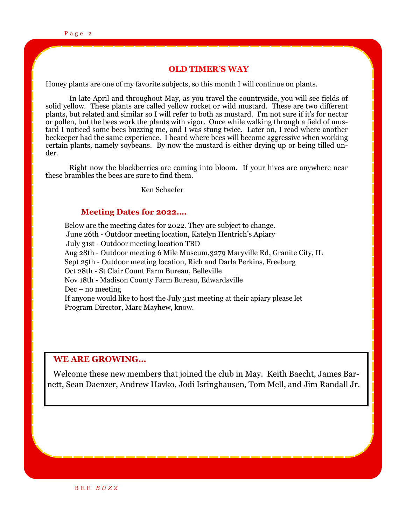### **OLD TIMER'S WAY**

Honey plants are one of my favorite subjects, so this month I will continue on plants.

In late April and throughout May, as you travel the countryside, you will see fields of solid yellow. These plants are called yellow rocket or wild mustard. These are two different plants, but related and similar so I will refer to both as mustard. I'm not sure if it's for nectar or pollen, but the bees work the plants with vigor. Once while walking through a field of mustard I noticed some bees buzzing me, and I was stung twice. Later on, I read where another beekeeper had the same experience. I heard where bees will become aggressive when working certain plants, namely soybeans. By now the mustard is either drying up or being tilled under.

Right now the blackberries are coming into bloom. If your hives are anywhere near these brambles the bees are sure to find them.

Ken Schaefer

### **Meeting Dates for 2022….**

Below are the meeting dates for 2022. They are subject to change. June 26th - Outdoor meeting location, Katelyn Hentrich's Apiary July 31st - Outdoor meeting location TBD Aug 28th - Outdoor meeting 6 Mile Museum,3279 Maryville Rd, Granite City, IL Sept 25th - Outdoor meeting location, Rich and Darla Perkins, Freeburg Oct 28th - St Clair Count Farm Bureau, Belleville Nov 18th - Madison County Farm Bureau, Edwardsville Dec – no meeting If anyone would like to host the July 31st meeting at their apiary please let Program Director, Marc Mayhew, know.

### **WE ARE GROWING…**

 Welcome these new members that joined the club in May. Keith Baecht, James Barnett, Sean Daenzer, Andrew Havko, Jodi Isringhausen, Tom Mell, and Jim Randall Jr.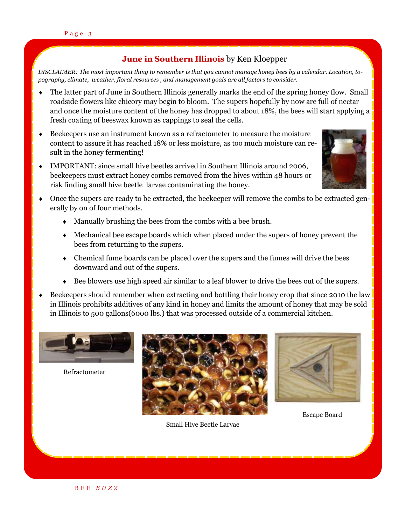### **June in Southern Illinois** by Ken Kloepper

 *pography, climate, weather, floral resources , and management goals are all factors to consider. DISCLAIMER: The most important thing to remember is that you cannot manage honey bees by a calendar. Location, to-*

- The latter part of June in Southern Illinois generally marks the end of the spring honey flow. Small roadside flowers like chicory may begin to bloom. The supers hopefully by now are full of nectar and once the moisture content of the honey has dropped to about 18%, the bees will start applying a fresh coating of beeswax known as cappings to seal the cells.
- Beekeepers use an instrument known as a refractometer to measure the moisture content to assure it has reached 18% or less moisture, as too much moisture can result in the honey fermenting!
- IMPORTANT: since small hive beetles arrived in Southern Illinois around 2006, beekeepers must extract honey combs removed from the hives within 48 hours or risk finding small hive beetle larvae contaminating the honey.



- Once the supers are ready to be extracted, the beekeeper will remove the combs to be extracted generally by on of four methods.
	- Manually brushing the bees from the combs with a bee brush.
	- Mechanical bee escape boards which when placed under the supers of honey prevent the bees from returning to the supers.
	- Chemical fume boards can be placed over the supers and the fumes will drive the bees downward and out of the supers.
	- Bee blowers use high speed air similar to a leaf blower to drive the bees out of the supers.
- Beekeepers should remember when extracting and bottling their honey crop that since 2010 the law in Illinois prohibits additives of any kind in honey and limits the amount of honey that may be sold in Illinois to 500 gallons(6000 lbs.) that was processed outside of a commercial kitchen.



Refractometer



Small Hive Beetle Larvae



Escape Board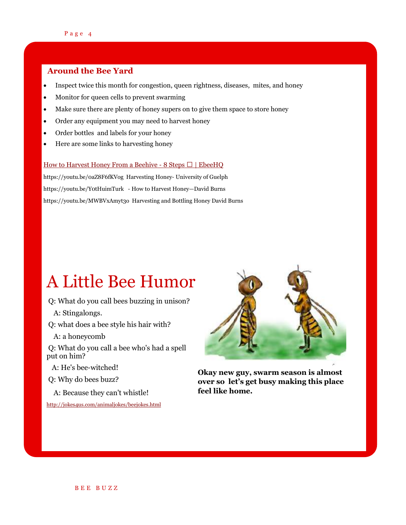### **Around the Bee Yard**

- Inspect twice this month for congestion, queen rightness, diseases, mites, and honey
- Monitor for queen cells to prevent swarming
- Make sure there are plenty of honey supers on to give them space to store honey
- Order any equipment you may need to harvest honey
- Order bottles and labels for your honey
- Here are some links to harvesting honey

#### [How to Harvest Honey From a Beehive -](https://www.ebeehq.com/getting-started-beekeeping/how-to-harvest-honey-from-a-beehive/) 8 Steps  $\Box$  | EbeeHQ

https://youtu.be/0aZ8F6fKVog Harvesting Honey- University of Guelph https://youtu.be/Y0tHuimTurk - How to Harvest Honey—David Burns https://youtu.be/MWBVxAmyt3o Harvesting and Bottling Honey David Burns

### A Little Bee Humor

- Q: What do you call bees buzzing in unison?
	- A: Stingalongs.
- Q: what does a bee style his hair with?
- A: a honeycomb

Q: What do you call a bee who's had a spell put on him?

A: He's bee-witched!

Q: Why do bees buzz?

A: Because they can't whistle!

<http://jokes4us.com/animaljokes/beejokes.html>



**Okay new guy, swarm season is almost over so let's get busy making this place feel like home.**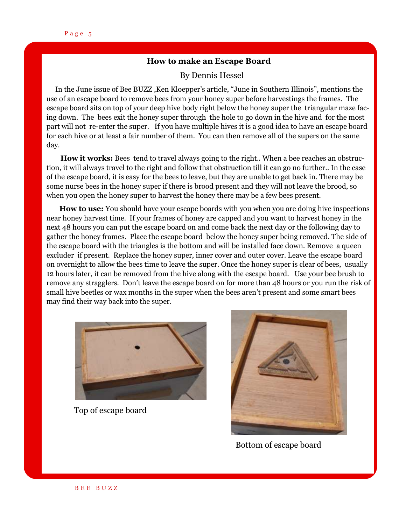### **How to make an Escape Board**

### By Dennis Hessel

 In the June issue of Bee BUZZ ,Ken Kloepper's article, "June in Southern Illinois", mentions the use of an escape board to remove bees from your honey super before harvestings the frames. The escape board sits on top of your deep hive body right below the honey super the triangular maze facing down. The bees exit the honey super through the hole to go down in the hive and for the most part will not re-enter the super. If you have multiple hives it is a good idea to have an escape board for each hive or at least a fair number of them. You can then remove all of the supers on the same day.

**How it works:** Bees tend to travel always going to the right.. When a bee reaches an obstruction, it will always travel to the right and follow that obstruction till it can go no further.. In the case of the escape board, it is easy for the bees to leave, but they are unable to get back in. There may be some nurse bees in the honey super if there is brood present and they will not leave the brood, so when you open the honey super to harvest the honey there may be a few bees present.

 **How to use:** You should have your escape boards with you when you are doing hive inspections near honey harvest time. If your frames of honey are capped and you want to harvest honey in the next 48 hours you can put the escape board on and come back the next day or the following day to gather the honey frames. Place the escape board below the honey super being removed. The side of the escape board with the triangles is the bottom and will be installed face down. Remove a queen excluder if present. Replace the honey super, inner cover and outer cover. Leave the escape board on overnight to allow the bees time to leave the super. Once the honey super is clear of bees, usually 12 hours later, it can be removed from the hive along with the escape board. Use your bee brush to remove any stragglers. Don't leave the escape board on for more than 48 hours or you run the risk of small hive beetles or wax months in the super when the bees aren't present and some smart bees may find their way back into the super.



Top of escape board



Bottom of escape board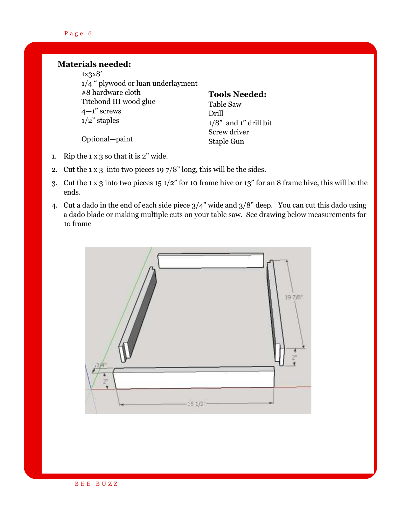### Page 6

### **Materials needed:**

1x3x8' 1/4 " plywood or luan underlayment #8 hardware cloth Titebond III wood glue  $4-1$ " screws 1/2" staples

### **Tools Needed:** Table Saw Drill

 $1/8$ " and 1" drill bit

Screw driver Staple Gun

Optional—paint

- 1. Rip the  $1 \times 3$  so that it is  $2$ " wide.
- 2. Cut the 1 x 3 into two pieces 19 7/8" long, this will be the sides.
- 3. Cut the 1 x 3 into two pieces 15 1/2" for 10 frame hive or 13" for an 8 frame hive, this will be the ends.
- 4. Cut a dado in the end of each side piece 3/4" wide and 3/8" deep. You can cut this dado using a dado blade or making multiple cuts on your table saw. See drawing below measurements for 1o frame

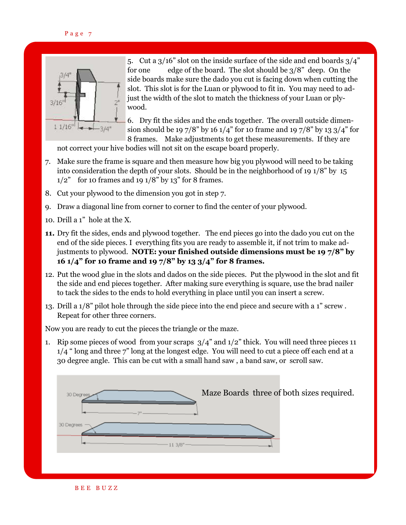

5. Cut a  $3/16$ " slot on the inside surface of the side and end boards  $3/4$ " for one edge of the board. The slot should be 3/8" deep. On the side boards make sure the dado you cut is facing down when cutting the slot. This slot is for the Luan or plywood to fit in. You may need to adjust the width of the slot to match the thickness of your Luan or plywood.

6. Dry fit the sides and the ends together. The overall outside dimension should be 19 7/8" by 16 1/4" for 10 frame and 19 7/8" by 13 3/4" for 8 frames. Make adjustments to get these measurements. If they are

not correct your hive bodies will not sit on the escape board properly.

- 7. Make sure the frame is square and then measure how big you plywood will need to be taking into consideration the depth of your slots. Should be in the neighborhood of 19 1/8" by 15  $1/2$ " for 10 frames and 19  $1/8$ " by 13" for 8 frames.
- 8. Cut your plywood to the dimension you got in step 7.
- 9. Draw a diagonal line from corner to corner to find the center of your plywood.
- 10. Drill a 1" hole at the X.
- **11.** Dry fit the sides, ends and plywood together. The end pieces go into the dado you cut on the end of the side pieces. I everything fits you are ready to assemble it, if not trim to make adjustments to plywood. **NOTE: your finished outside dimensions must be 19 7/8" by 16 1/4" for 10 frame and 19 7/8" by 13 3/4" for 8 frames.**
- 12. Put the wood glue in the slots and dados on the side pieces. Put the plywood in the slot and fit the side and end pieces together. After making sure everything is square, use the brad nailer to tack the sides to the ends to hold everything in place until you can insert a screw.
- 13. Drill a 1/8" pilot hole through the side piece into the end piece and secure with a 1" screw . Repeat for other three corners.

Now you are ready to cut the pieces the triangle or the maze.

1. Rip some pieces of wood from your scraps  $3/4$ " and  $1/2$ " thick. You will need three pieces 11 1/4 " long and three 7" long at the longest edge. You will need to cut a piece off each end at a 30 degree angle. This can be cut with a small hand saw , a band saw, or scroll saw.



B E E B U Z Z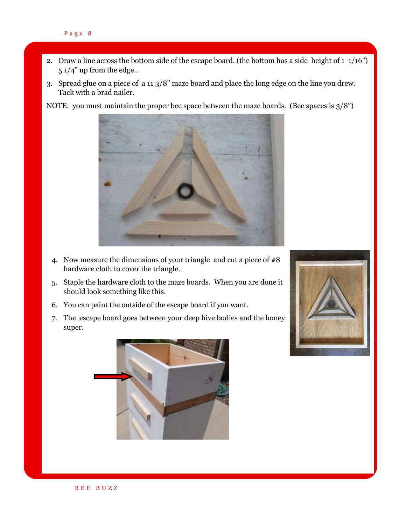- 2. Draw a line across the bottom side of the escape board. (the bottom has a side height of  $1\frac{1}{16}$ ") 5 1/4" up from the edge..
- 3. Spread glue on a piece of a 11 3/8" maze board and place the long edge on the line you drew. Tack with a brad nailer.

NOTE: you must maintain the proper bee space between the maze boards. (Bee spaces is  $3/8$ )



- 4. Now measure the dimensions of your triangle and cut a piece of  $#8$ hardware cloth to cover the triangle.
- 5. Staple the hardware cloth to the maze boards. When you are done it should look something like this.
- 6. You can paint the outside of the escape board if you want.
- 7. The escape board goes between your deep hive bodies and the honey super.



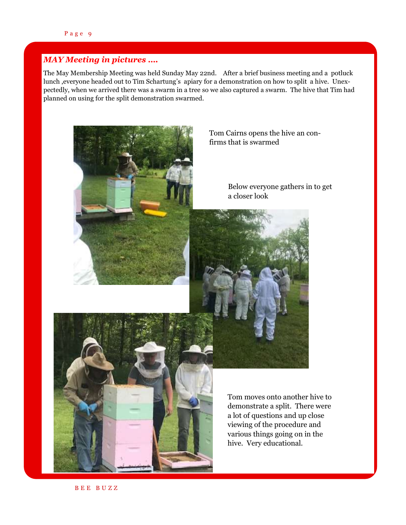### *MAY Meeting in pictures ….*

The May Membership Meeting was held Sunday May 22nd. After a brief business meeting and a potluck lunch ,everyone headed out to Tim Schartung's apiary for a demonstration on how to split a hive. Unexpectedly, when we arrived there was a swarm in a tree so we also captured a swarm. The hive that Tim had planned on using for the split demonstration swarmed.



Tom Cairns opens the hive an confirms that is swarmed

> Below everyone gathers in to get a closer look





Tom moves onto another hive to demonstrate a split. There were a lot of questions and up close viewing of the procedure and various things going on in the hive. Very educational.